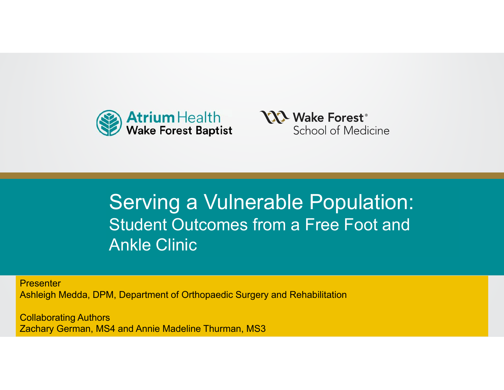



#### **Presentation Titles of the Student Outcomes from a Free Foot and** Ankle Clinic Company of Supporting Thought Serving a Vulnerable Population:

**Presenter** 

Ashleigh Medda, DPM, Department of Orthopaedic Surgery and Rehabilitation

Polloborating Authors Collaborating Authors Zachary German, MS4 and Annie Madeline Thurman, MS3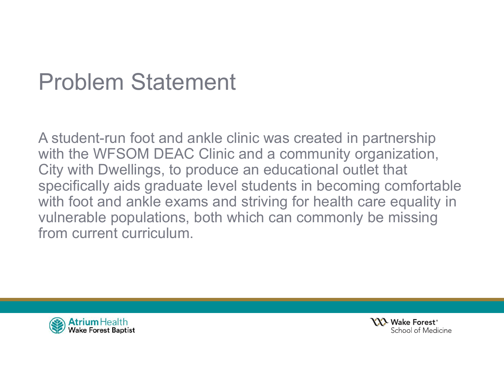## Problem Statement

A student-run foot and ankle clinic was created in partnership with the WFSOM DEAC Clinic and a community organization, City with Dwellings, to produce an educational outlet that specifically aids graduate level students in becoming comfortable with foot and ankle exams and striving for health care equality in vulnerable populations, both which can commonly be missing from current curriculum.



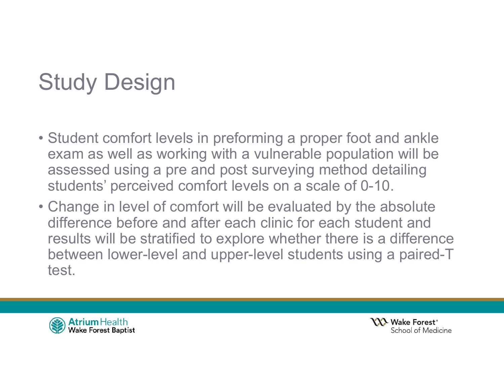# Study Design

- Student comfort levels in preforming a proper foot and ankle exam as well as working with a vulnerable population will be assessed using a pre and post surveying method detailing students' perceived comfort levels on a scale of 0-10.
- Change in level of comfort will be evaluated by the absolute difference before and after each clinic for each student and results will be stratified to explore whether there is a difference between lower-level and upper-level students using a paired-T test.



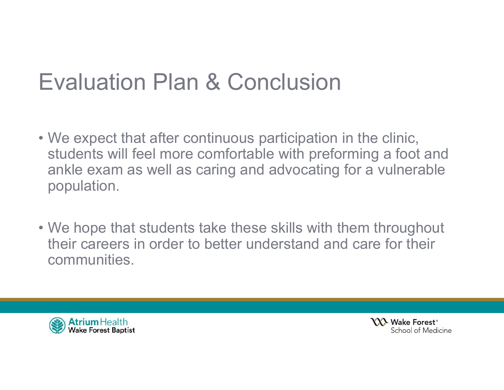#### Evaluation Plan & Conclusion

- We expect that after continuous participation in the clinic, students will feel more comfortable with preforming a foot and ankle exam as well as caring and advocating for a vulnerable population.
- We hope that students take these skills with them throughout their careers in order to better understand and care for their communities.



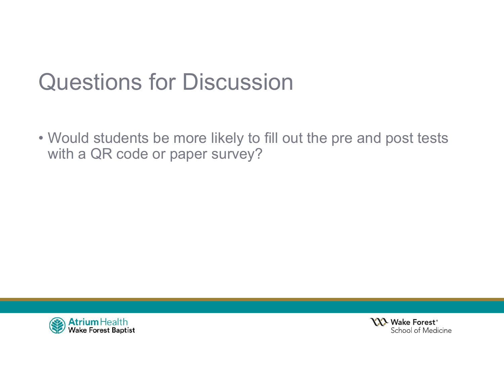## Questions for Discussion

• Would students be more likely to fill out the pre and post tests with a QR code or paper survey?